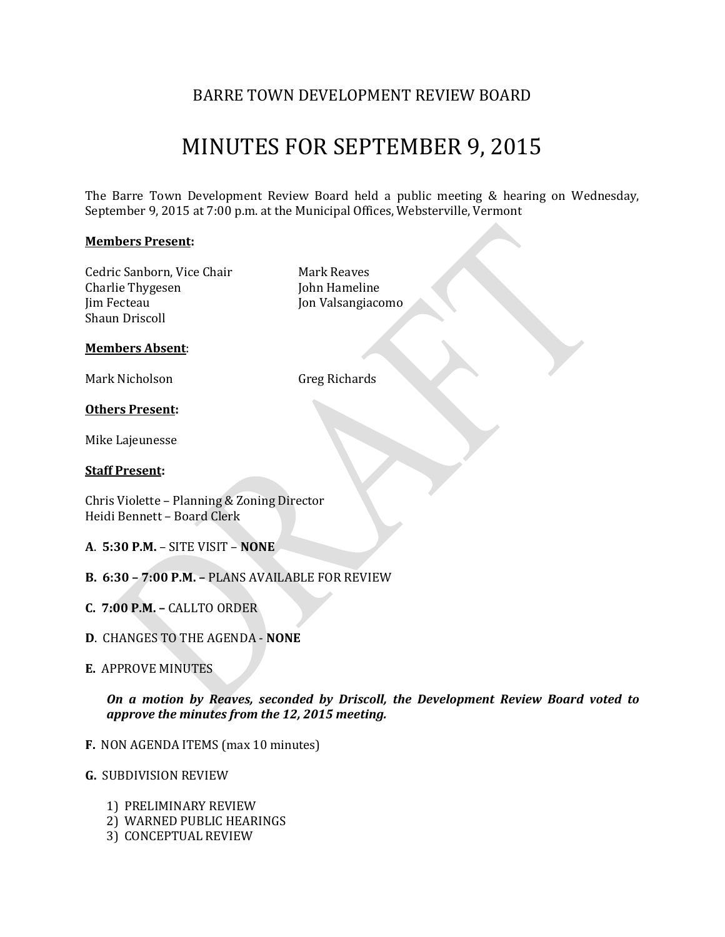## BARRE TOWN DEVELOPMENT REVIEW BOARD

# MINUTES FOR SEPTEMBER 9, 2015

The Barre Town Development Review Board held a public meeting & hearing on Wednesday, September 9, 2015 at 7:00 p.m. at the Municipal Offices, Websterville, Vermont

#### **Members Present:**

Cedric Sanborn, Vice Chair Mark Reaves Charlie Thygesen John Hameline Jim Fecteau Jon Valsangiacomo Shaun Driscoll

#### **Members Absent**:

Mark Nicholson Greg Richards

#### **Others Present:**

Mike Lajeunesse

#### **Staff Present:**

Chris Violette – Planning & Zoning Director Heidi Bennett – Board Clerk

- **A**. **5:30 P.M.** SITE VISIT **NONE**
- **B. 6:30 – 7:00 P.M. –** PLANS AVAILABLE FOR REVIEW
- **C. 7:00 P.M. –** CALLTO ORDER
- **D**. CHANGES TO THE AGENDA **NONE**
- **E.** APPROVE MINUTES

*On a motion by Reaves, seconded by Driscoll, the Development Review Board voted to approve the minutes from the 12, 2015 meeting.*

- **F.** NON AGENDA ITEMS (max 10 minutes)
- **G.** SUBDIVISION REVIEW
	- 1) PRELIMINARY REVIEW
	- 2) WARNED PUBLIC HEARINGS
	- 3) CONCEPTUAL REVIEW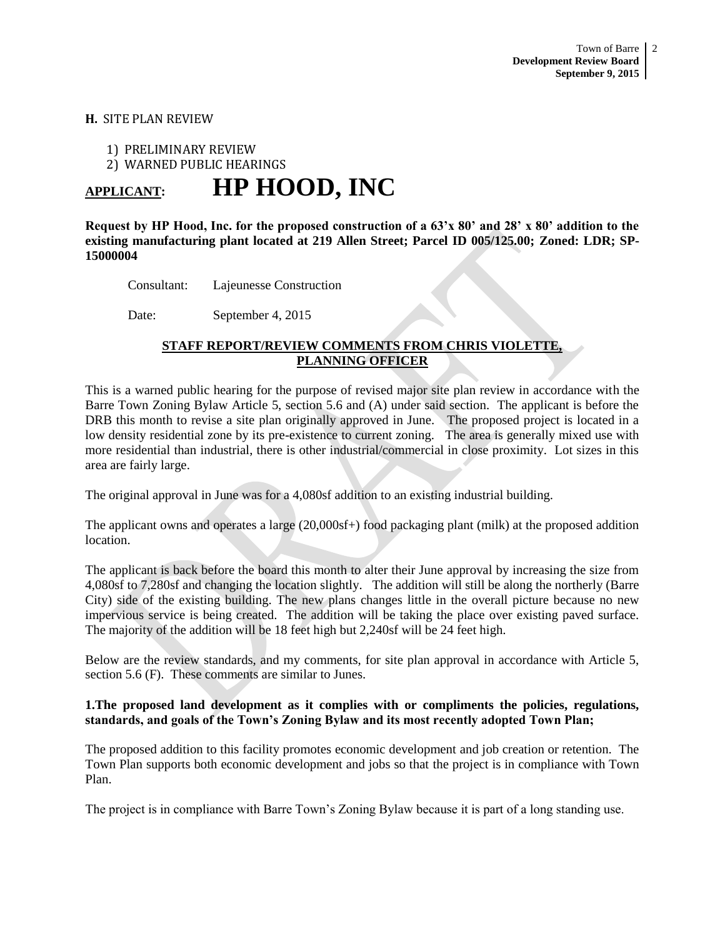#### **H.** SITE PLAN REVIEW

1) PRELIMINARY REVIEW

2) WARNED PUBLIC HEARINGS

# **APPLICANT: HP HOOD, INC**

**Request by HP Hood, Inc. for the proposed construction of a 63'x 80' and 28' x 80' addition to the existing manufacturing plant located at 219 Allen Street; Parcel ID 005/125.00; Zoned: LDR; SP-15000004**

Consultant: Lajeunesse Construction

Date: September 4, 2015

### **STAFF REPORT/REVIEW COMMENTS FROM CHRIS VIOLETTE, PLANNING OFFICER**

This is a warned public hearing for the purpose of revised major site plan review in accordance with the Barre Town Zoning Bylaw Article 5, section 5.6 and (A) under said section. The applicant is before the DRB this month to revise a site plan originally approved in June. The proposed project is located in a low density residential zone by its pre-existence to current zoning. The area is generally mixed use with more residential than industrial, there is other industrial/commercial in close proximity. Lot sizes in this area are fairly large.

The original approval in June was for a 4,080sf addition to an existing industrial building.

The applicant owns and operates a large (20,000sf+) food packaging plant (milk) at the proposed addition location.

The applicant is back before the board this month to alter their June approval by increasing the size from 4,080sf to 7,280sf and changing the location slightly. The addition will still be along the northerly (Barre City) side of the existing building. The new plans changes little in the overall picture because no new impervious service is being created. The addition will be taking the place over existing paved surface. The majority of the addition will be 18 feet high but 2,240sf will be 24 feet high.

Below are the review standards, and my comments, for site plan approval in accordance with Article 5, section 5.6 (F). These comments are similar to Junes.

#### **1.The proposed land development as it complies with or compliments the policies, regulations, standards, and goals of the Town's Zoning Bylaw and its most recently adopted Town Plan;**

The proposed addition to this facility promotes economic development and job creation or retention. The Town Plan supports both economic development and jobs so that the project is in compliance with Town Plan.

The project is in compliance with Barre Town's Zoning Bylaw because it is part of a long standing use.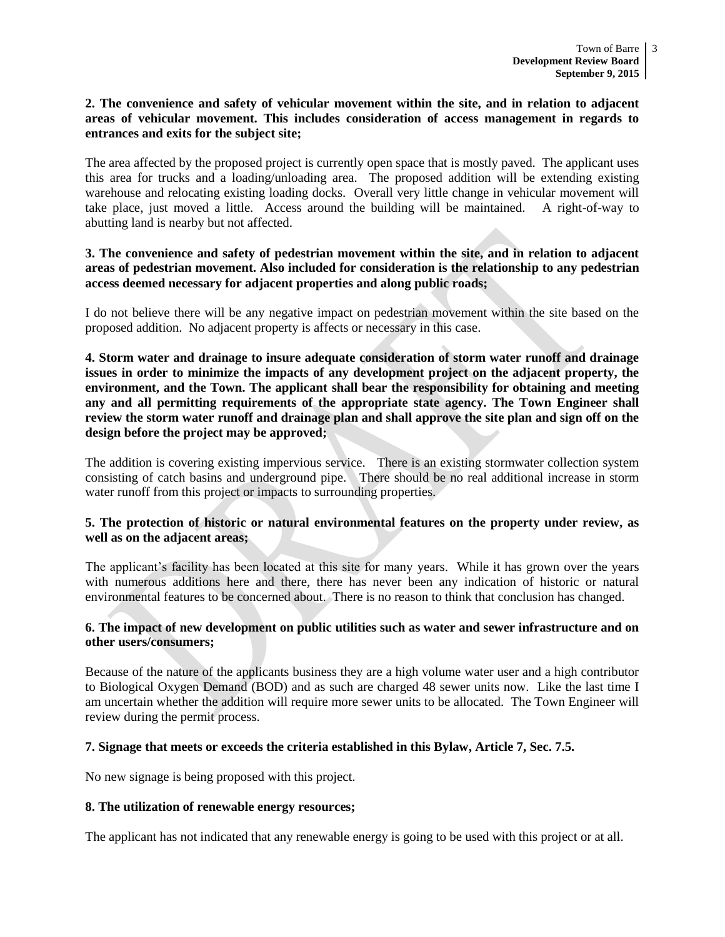#### **2. The convenience and safety of vehicular movement within the site, and in relation to adjacent areas of vehicular movement. This includes consideration of access management in regards to entrances and exits for the subject site;**

The area affected by the proposed project is currently open space that is mostly paved. The applicant uses this area for trucks and a loading/unloading area. The proposed addition will be extending existing warehouse and relocating existing loading docks. Overall very little change in vehicular movement will take place, just moved a little. Access around the building will be maintained. A right-of-way to abutting land is nearby but not affected.

#### **3. The convenience and safety of pedestrian movement within the site, and in relation to adjacent areas of pedestrian movement. Also included for consideration is the relationship to any pedestrian access deemed necessary for adjacent properties and along public roads;**

I do not believe there will be any negative impact on pedestrian movement within the site based on the proposed addition. No adjacent property is affects or necessary in this case.

**4. Storm water and drainage to insure adequate consideration of storm water runoff and drainage issues in order to minimize the impacts of any development project on the adjacent property, the environment, and the Town. The applicant shall bear the responsibility for obtaining and meeting any and all permitting requirements of the appropriate state agency. The Town Engineer shall review the storm water runoff and drainage plan and shall approve the site plan and sign off on the design before the project may be approved;** 

The addition is covering existing impervious service. There is an existing stormwater collection system consisting of catch basins and underground pipe. There should be no real additional increase in storm water runoff from this project or impacts to surrounding properties.

#### **5. The protection of historic or natural environmental features on the property under review, as well as on the adjacent areas;**

The applicant's facility has been located at this site for many years. While it has grown over the years with numerous additions here and there, there has never been any indication of historic or natural environmental features to be concerned about. There is no reason to think that conclusion has changed.

#### **6. The impact of new development on public utilities such as water and sewer infrastructure and on other users/consumers;**

Because of the nature of the applicants business they are a high volume water user and a high contributor to Biological Oxygen Demand (BOD) and as such are charged 48 sewer units now. Like the last time I am uncertain whether the addition will require more sewer units to be allocated. The Town Engineer will review during the permit process.

#### **7. Signage that meets or exceeds the criteria established in this Bylaw, Article 7, Sec. 7.5.**

No new signage is being proposed with this project.

#### **8. The utilization of renewable energy resources;**

The applicant has not indicated that any renewable energy is going to be used with this project or at all.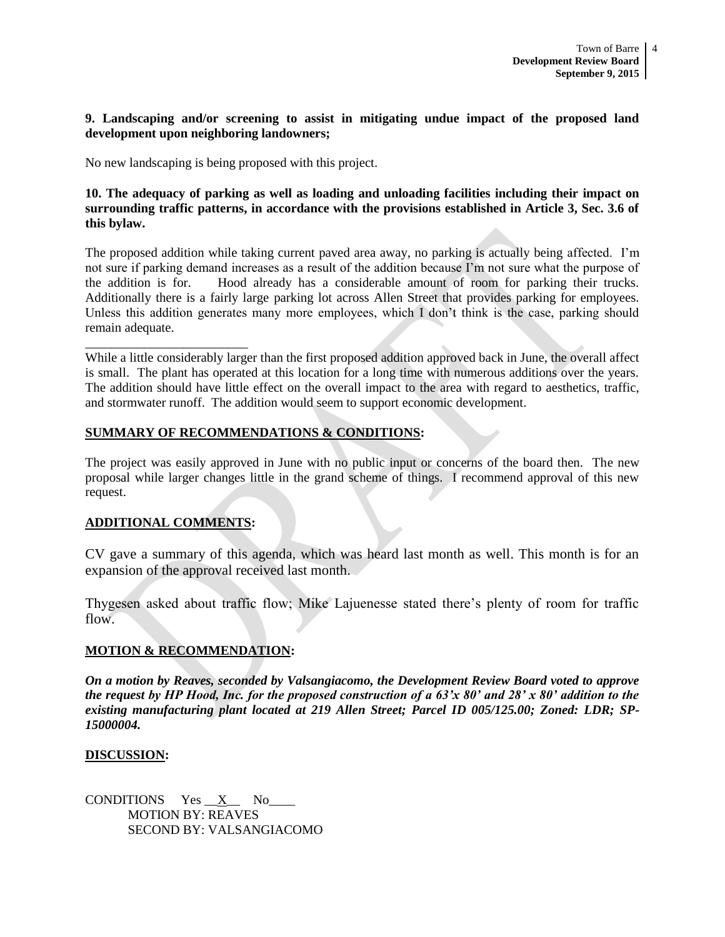#### **9. Landscaping and/or screening to assist in mitigating undue impact of the proposed land development upon neighboring landowners;**

No new landscaping is being proposed with this project.

**10. The adequacy of parking as well as loading and unloading facilities including their impact on surrounding traffic patterns, in accordance with the provisions established in Article 3, Sec. 3.6 of this bylaw.** 

The proposed addition while taking current paved area away, no parking is actually being affected. I'm not sure if parking demand increases as a result of the addition because I'm not sure what the purpose of the addition is for. Hood already has a considerable amount of room for parking their trucks. Additionally there is a fairly large parking lot across Allen Street that provides parking for employees. Unless this addition generates many more employees, which I don't think is the case, parking should remain adequate.

While a little considerably larger than the first proposed addition approved back in June, the overall affect is small. The plant has operated at this location for a long time with numerous additions over the years. The addition should have little effect on the overall impact to the area with regard to aesthetics, traffic, and stormwater runoff. The addition would seem to support economic development.

#### **SUMMARY OF RECOMMENDATIONS & CONDITIONS:**

The project was easily approved in June with no public input or concerns of the board then. The new proposal while larger changes little in the grand scheme of things. I recommend approval of this new request.

#### **ADDITIONAL COMMENTS:**

\_\_\_\_\_\_\_\_\_\_\_\_\_\_\_\_\_\_\_\_\_\_\_\_\_

CV gave a summary of this agenda, which was heard last month as well. This month is for an expansion of the approval received last month.

Thygesen asked about traffic flow; Mike Lajuenesse stated there's plenty of room for traffic flow.

### **MOTION & RECOMMENDATION:**

*On a motion by Reaves, seconded by Valsangiacomo, the Development Review Board voted to approve the request by HP Hood, Inc. for the proposed construction of a 63'x 80' and 28' x 80' addition to the existing manufacturing plant located at 219 Allen Street; Parcel ID 005/125.00; Zoned: LDR; SP-15000004.*

#### **DISCUSSION:**

CONDITIONS Yes  $X$  No MOTION BY: REAVES SECOND BY: VALSANGIACOMO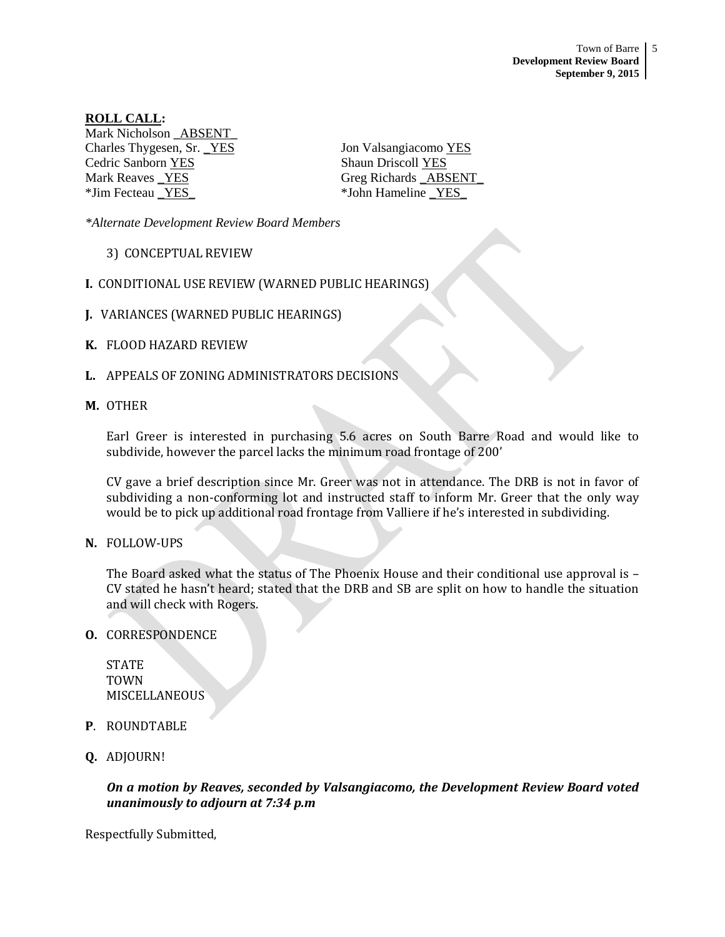**ROLL CALL:** Mark Nicholson ABSENT Charles Thygesen, Sr. <u>YES</u> Jon Valsangiacomo YES Cedric Sanborn YES Shaun Driscoll YES Mark Reaves \_YES Greg Richards \_ABSENT

\*Jim Fecteau <u>YES</u> \*John Hameline YES

*\*Alternate Development Review Board Members*

- 3) CONCEPTUAL REVIEW
- **I.** CONDITIONAL USE REVIEW (WARNED PUBLIC HEARINGS)
- **J.** VARIANCES (WARNED PUBLIC HEARINGS)
- **K.** FLOOD HAZARD REVIEW
- **L.** APPEALS OF ZONING ADMINISTRATORS DECISIONS
- **M.** OTHER

Earl Greer is interested in purchasing 5.6 acres on South Barre Road and would like to subdivide, however the parcel lacks the minimum road frontage of 200'

CV gave a brief description since Mr. Greer was not in attendance. The DRB is not in favor of subdividing a non-conforming lot and instructed staff to inform Mr. Greer that the only way would be to pick up additional road frontage from Valliere if he's interested in subdividing.

**N.** FOLLOW-UPS

The Board asked what the status of The Phoenix House and their conditional use approval is – CV stated he hasn't heard; stated that the DRB and SB are split on how to handle the situation and will check with Rogers.

**O.** CORRESPONDENCE

STATE TOWN MISCELLANEOUS

- **P**. ROUNDTABLE
- **Q.** ADJOURN!

*On a motion by Reaves, seconded by Valsangiacomo, the Development Review Board voted unanimously to adjourn at 7:34 p.m*

Respectfully Submitted,